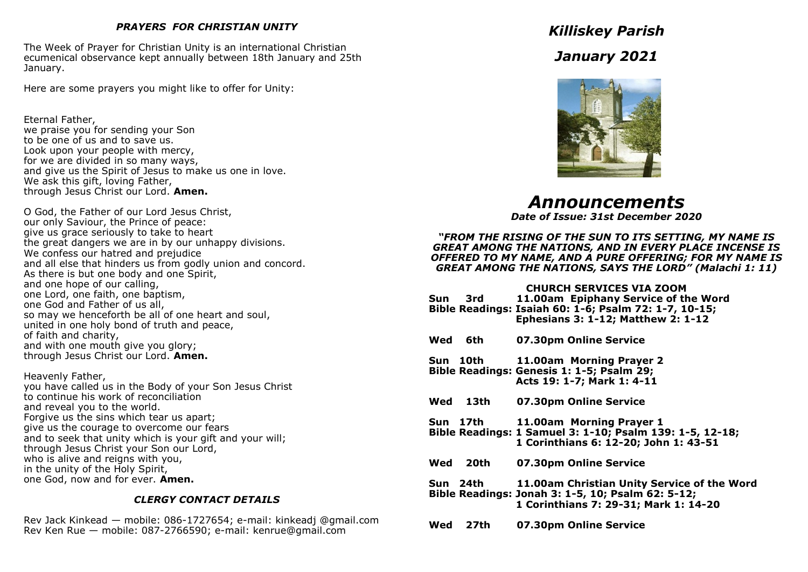### *PRAYERS FOR CHRISTIAN UNITY*

The Week of Prayer for Christian Unity is an international Christian ecumenical observance kept annually between 18th January and 25th January.

Here are some prayers you might like to offer for Unity:

Eternal Father, we praise you for sending your Son to be one of us and to save us. Look upon your people with mercy, for we are divided in so many ways, and give us the Spirit of Jesus to make us one in love. We ask this gift, loving Father, through Jesus Christ our Lord. **Amen.** 

O God, the Father of our Lord Jesus Christ, our only Saviour, the Prince of peace: give us grace seriously to take to heart the great dangers we are in by our unhappy divisions. We confess our hatred and prejudice and all else that hinders us from godly union and concord. As there is but one body and one Spirit, and one hope of our calling, one Lord, one faith, one baptism, one God and Father of us all, so may we henceforth be all of one heart and soul, united in one holy bond of truth and peace, of faith and charity, and with one mouth give you glory; through Jesus Christ our Lord. **Amen.**

Heavenly Father, you have called us in the Body of your Son Jesus Christ to continue his work of reconciliation and reveal you to the world. Forgive us the sins which tear us apart; give us the courage to overcome our fears and to seek that unity which is your gift and your will; through Jesus Christ your Son our Lord, who is alive and reigns with you, in the unity of the Holy Spirit, one God, now and for ever. **Amen.**

### *CLERGY CONTACT DETAILS*

Rev Jack Kinkead — mobile: 086-1727654; e-mail: kinkeadj @gmail.com Rev Ken Rue — mobile: 087-2766590; e-mail: kenrue@gmail.com

*Killiskey Parish January 2021*



*Announcements*

*Date of Issue: 31st December 2020*

*"FROM THE RISING OF THE SUN TO ITS SETTING, MY NAME IS GREAT AMONG THE NATIONS, AND IN EVERY PLACE INCENSE IS OFFERED TO MY NAME, AND A PURE OFFERING; FOR MY NAME IS GREAT AMONG THE NATIONS, SAYS THE LORD" (Malachi 1: 11)*

### **CHURCH SERVICES VIA ZOOM**

**Sun 3rd 11.00am Epiphany Service of the Word Bible Readings: Isaiah 60: 1-6; Psalm 72: 1-7, 10-15; Ephesians 3: 1-12; Matthew 2: 1-12**

- **Wed 6th 07.30pm Online Service**
- **Sun 10th 11.00am Morning Prayer 2 Bible Readings: Genesis 1: 1-5; Psalm 29; Acts 19: 1-7; Mark 1: 4-11**
- **Wed 13th 07.30pm Online Service**
- **Sun 17th 11.00am Morning Prayer 1**
- **Bible Readings: 1 Samuel 3: 1-10; Psalm 139: 1-5, 12-18; 1 Corinthians 6: 12-20; John 1: 43-51**
- **Wed 20th 07.30pm Online Service**
- **Sun 24th 11.00am Christian Unity Service of the Word Bible Readings: Jonah 3: 1-5, 10; Psalm 62: 5-12; 1 Corinthians 7: 29-31; Mark 1: 14-20**
- **Wed 27th 07.30pm Online Service**